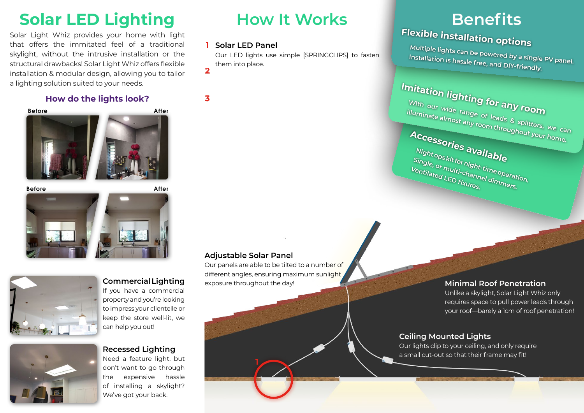## **Solar LED Lighting How It Works Benefits**

Solar Light Whiz provides your home with light that offers the immitated feel of a traditional skylight, without the intrusive installation or the structural drawbacks! Solar Light Whiz offers flexible installation & modular design, allowing you to tailor a lighting solution suited to your needs.

## **How do the lights look?**







### **Commercial Lighting** If you have a commercial

property and you're looking to impress your clientelle or keep the store well-lit, we can help you out!

## **Recessed Lighting**

Need a feature light, but don't want to go through the expensive hassle of installing a skylight? We've got your back.

## **1 Solar LED Panel**

Our LED lights use simple [SPRINGCLIPS] to fasten them into place.

**3**

**2**

## **Adjustable Solar Panel**

**1**

Our panels are able to be tilted to a number of different angles, ensuring maximum sunlight exposure throughout the day! **Minimal Roof Penetration**

# **Flexible installation options**

**Multiple lights can be powered by a single PV panel. Installation is hassle free, and DIY-friendly.**



Unlike a skylight, Solar Light Whiz only requires space to pull power leads through your roof—barely a 1cm of roof penetration!

## **Ceiling Mounted Lights**

Our lights clip to your ceiling, and only require a small cut-out so that their frame may fit!